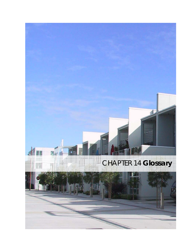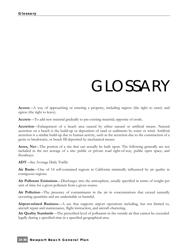## GLOSSARY

**Access**—A way of approaching or entering a property, including ingress (the right to enter) and egress (the right to leave).

**Accrete**—To add new material gradually to pre-existing material; opposite of erode.

**Accretion**—Enlargement of a beach area caused by either natural or artificial means. Natural accretion on a beach is the build-up or deposition of sand or sediments by water or wind. Artificial accretion is a similar build-up due to human activity, such as the accretion due to the construction of a groin or breakwater, or beach fill deposited by mechanical means.

**Acres, Net**—The portion of a site that can actually be built upon. The following generally are not included in the net acreage of a site: public or private road right-of-way, public open space, and floodways.

**ADT**—See Average Daily Traffic

**Air Basin**—One of 14 self-contained regions in California minimally influenced by air quality in contiguous regions.

**Air Pollutant Emissions**—Discharges into the atmosphere, usually specified in terms of weight per unit of time for a given pollutant from a given source.

**Air Pollution**—The presence of contaminants in the air in concentrations that exceed naturally occurring quantities and are undesirable or harmful.

**Airport-related Business**—A use that supports airport operations including, but not limited to, aircraft repair and maintenance, flight instruction, and aircraft chartering.

**Air Quality Standards**—The prescribed level of pollutants in the outside air that cannot be exceeded legally during a specified time in a specified geographical area.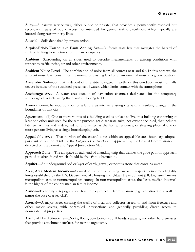**Alley**—A narrow service way, either public or private, that provides a permanently reserved but secondary means of public access not intended for general traffic circulation. Alleys typically are located along rear property lines.

**Alluvial**—Soils deposited by stream action.

**Alquist-Priolo Earthquake Fault Zoning Act**—California state law that mitigates the hazard of surface faulting to structures for human occupancy.

**Ambient**—Surrounding on all sides; used to describe measurements of existing conditions with respect to traffic, noise, air and other environments.

**Ambient Noise Level**– The combination of noise from all sources near and far. In this context, the ambient noise level constitutes the normal or existing level of environmental noise at a given location.

**Anaerobic Soil**—Soil that is devoid of interstitial oxygen. In wetlands this condition most normally occurs because of the sustained presence of water, which limits contact with the atmosphere.

**Anchorage Area**—A water area outside of navigation channels designated for the temporary anchorage of vessels, using their own anchoring tackle.

**Annexation**—The incorporation of a land area into an existing city with a resulting change in the boundaries of that city.

**Apartment**—(1) One or more rooms of a building used as a place to live, in a building containing at least one other unit used for the same purpose. (2) A separate suite, not owner occupied, that includes kitchen facilities and is designed for and rented as the home, residence, or sleeping place of one or more persons living as a single housekeeping unit.

**Appealable Area**—That portion of the coastal zone within an appealable area boundary adopted pursuant to Section 30603 of the *California Coastal Act* and approved by the Coastal Commission and depicted on the Permit and Appeal Jurisdiction Map.

**Approach Zone**—The air space at each end of a landing strip that defines the glide path or approach path of an aircraft and which should be free from obstruction.

**Aquifer**—An underground bed or layer of earth, gravel, or porous stone that contains water.

**Area; Area Median Income**—As used in California housing law with respect to income eligibility limits established by the U.S. Department of Housing and Urban Development (HUD), "area" means metropolitan area or nonmetropolitan county. In non-metropolitan areas, the "area median income" is the higher of the county median family income.

**Armor**—To fortify a topographical feature to protect it from erosion (e.g., constructing a wall to armor the base of a sea cliff).

**Arterial—**A major street carrying the traffic of local and collector streets to and from freeways and other major streets, with controlled intersections and generally providing direct access to nonresidential properties.

**Artificial Hard Structure**—Docks, floats, boat bottoms, bulkheads, seawalls, and other hard surfaces that provide attachment surfaces for marine organisms.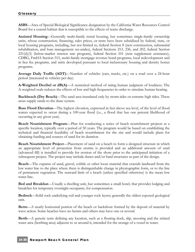**ASBS**—Area of Special Biological Significance designation by the California Water Resources Control Board for a coastal habitat that is susceptible to the effects of waste discharge.

**Assisted Housing**—Generally multi-family rental housing, but sometimes single-family ownership units, whose construction, financing, sales prices, or rents have been subsidized by federal, state, or local housing programs, including, but not limited to, federal Section 8 (new construction, substantial rehabilitation, and loan management set-asides), federal Sections 213, 236, and 202, federal Section 221(d)(3) (below-market interest rate program), federal Section 101 (rent supplement assistance), CDBG, FmHA Section 515, multi-family mortgage revenue bond programs, local redevelopment and in lieu fee programs, and units developed pursuant to local inclusionary housing and density bonus programs.

**Average Daily Traffic (ADT)**—Number of vehicles (cars, trucks, etc.) on a road over a 24-hour period (measured in vehicles per day).

**A-Weighted Decibel or dB(A)**—A numerical method of rating human judgment of loudness. The A-weighted scale reduces the effects of low and high frequencies in order to simulate human hearing.

**Backbeach (Dry Beach)**—The sand area inundated only by storm tides or extreme high tides. These areas supply sands to the dune system.

**Base Flood Elevation**—The highest elevation, expressed in feet above sea level, of the level of flood waters expected to occur during a 100-year flood (i.e., a flood that has one percent likelihood of occurring in any given year).

**Beach Nourishment Program**—Plan for conducting a series of beach nourishment projects at a specific location, typically over a period of 50 years. The program would be based on establishing the technical and financial feasibility of beach nourishment for the site and would include plans for obtaining funding and sources of sand for its duration.

**Beach Nourishment Project**—Placement of sand on a beach to form a designed structure in which an appropriate level of protection from storms is provided and an additional amount of sand (advanced fill) is installed to provide for erosion of the shore prior to the anticipated initiation of a subsequent project. The project may include dunes and/or hard structures as part of the design.

**Beach**—The expanse of sand, gravel, cobble or other loose material that extends landward from the low water line to the place where there is distinguishable change in physiographic form, or to the line of permanent vegetation. The seaward limit of a beach (unless specified otherwise) is the mean low water line.

**Bed and Breakfast**—Usually a dwelling unit, but sometimes a small hotel, that provides lodging and breakfast for temporary overnight occupants, for compensation.

**Bedrock**—Solid rock underlying soil and younger rock layers; generally the oldest exposed geological unit.

**Berm**—A nearly horizontal portion of the beach or backshore formed by the deposit of material by wave action. Some beaches have no berms and others may have one or several.

**Berth**—A generic term defining any location, such as a floating dock, slip, mooring and the related water area (berthing area) adjacent to or around it, intended for the storage of a vessel in water.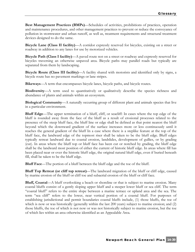**Best Management Practices (BMPs)—Schedules of activities, prohibitions of practices, operation** and maintenance procedures, and other management practices to prevent or reduce the conveyance of pollution in stormwater and urban runoff, as well as, treatment requirements and structural treatment devices designed to do the same.

**Bicycle Lane (Class II facility)**—A corridor expressly reserved for bicycles, existing on a street or roadway in addition to any lanes for use by motorized vehicles.

**Bicycle Path (Class I facility)**—A paved route not on a street or roadway and expressly reserved for bicycles traversing an otherwise unpaved area. Bicycle paths may parallel roads but typically are separated from them by landscaping.

**Bicycle Route (Class III facility)**—A facility shared with motorists and identified only by signs, a bicycle route has no pavement markings or lane stripes.

**Bikeways**—A term that encompasses bicycle lanes, bicycle paths, and bicycle routes.

**Biodiversity—A** term used to quantitatively or qualitatively describe the species richness and abundance of plants and animals within an ecosystem.

**Biological Community**—A naturally occurring group of different plant and animals species that live in a particular environment.

**Bluff Edge—The upper termination of a bluff, cliff, or seacliff:** In cases where the top edge of the bluff is rounded away from the face of the bluff as a result of erosional processes related to the presence of the steep bluff face, the bluff line or edge shall be defined as that point nearest the bluff beyond which the downward gradient of the surface increases more or less continuously until it reaches the general gradient of the bluff In a case where there is a steplike feature at the top of the bluff face, the landward edge of the topmost riser shall be taken to be the bluff edge. Bluff edges typically retreat landward due to coastal erosion, landslides, development of gullies, or by grading (cut). In areas where the bluff top or bluff face has been cut or notched by grading, the bluff edge shall be the landward most position of either the current of historic bluff edge. In areas where fill has been placed near or over the historic bluff edge, the original natural bluff edge, even if buried beneath fill, shall be taken to be the bluff edge.

**Bluff Face**—The portion of a bluff between the bluff edge and the toe of the bluff.

**Bluff Top Retreat (or cliff top retreat)**—The landward migration of the bluff or cliff edge, caused by marine erosion of the bluff or cliff toe and subaerial erosion of the bluff or cliff face.

**Bluff, Coastal**—A bluff overlooking a beach or shoreline or that is subject to marine erosion. Many coastal bluffs consist of a gently sloping upper bluff and a steeper lower bluff or sea cliff. The term "coastal bluff" refers to the entire slope between a marine terrace or upland area and the sea. The term "sea cliff" refers to the lower, near vertical portion of a coastal bluff. For purposes of establishing jurisdictional and permit boundaries coastal bluffs include, (1) those bluffs, the toe of which is now or was historically (generally within the last 200 years) subject to marine erosion; and (2) those bluffs, the toe of which is not now or was not historically subject to marine erosion, but the toe of which lies within an area otherwise identified as an Appealable Area.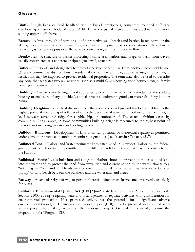**Bluff**—A high bank or bold headland with a broad, precipitous, sometimes rounded cliff face overlooking a plain or body of water. A bluff may consist of a steep cliff face below and a more sloping upper bluff above.

**Breach**—A breakthrough of part, or all, of a protective wall, beach sand barrier, beach berm, or the like by ocean waves, river or stream flow, mechanical equipment, or a combination of these forces. Breaching is sometimes purposefully done to protect a region from river overflow.

**Breakwater**—A structure or barrier protecting a shore area, harbor, anchorage, or basin from waves, usually constructed as a concrete or riprap (rock wall) structure.

**Buffer**—A strip of land designated to protect one type of land use from another incompatible use. Where a commercial district abuts a residential district, for example, additional use, yard, or height restrictions may be imposed to protect residential properties. The term may also be used to describe any zone that separates two unlike zones, such as a multi-family housing zone between single- family housing and commercial uses.

**Building**—Any structure having a roof supported by columns or walls and intended for the shelter, housing or enclosure of any individual, animal, process, equipment, goods, or materials of any kind or nature.

**Building Height**—The vertical distance from the average contact ground level of a building to the highest point of the coping of a flat roof or to the deck line of a mansard roof or to the mean height level between eaves and ridge for a gable, hip, or gambrel roof. The exact definition varies by community. For example, in some communities building height is measured to the highest point of the roof, not including elevator and cooling towers.

**Buildout; Build-out**—Development of land to its full potential or theoretical capacity as permitted under current or proposed planning or zoning designations. (see "Carrying Capacity (3).")

**Bulkhead Line**—Harbor land/water perimeter lines established in Newport Harbor by the federal government, which define the permitted limit of filling or solid structures that may be constructed in the Harbor.

**Bulkhead**—Vertical walls built into and along the Harbor shoreline preventing the erosion of land into the water and to protect the land from wave, tide and current action by the water, similar to a "retaining wall" on land. Bulkheads may be directly bordered by water, or may have sloped stones (riprap) or sand beach between the bulkhead and the water and land areas.

**Busway**—A vehicular right-of-way or portion thereof—often an exclusive lane—reserved exclusively for buses.

**California Environmental Quality Act (CEQA)**—A state law (California Public Resources Code Section 21000 et seq.) requiring state and local agencies to regulate activities with consideration for environmental protection. If a proposed activity has the potential for a significant adverse environmental impact, an Environmental Impact Report (EIR) must be prepared and certified as to its adequacy before taking action on the proposed project. General Plans usually require the preparation of a "Program EIR."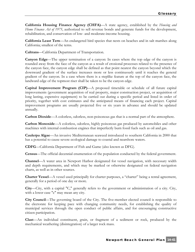**California Housing Finance Agency (CHFA)**—A state agency, established by the *Housing and Home Finance Act of 1975*, authorized to sell revenue bonds and generate funds for the development, rehabilitation, and conservation of low- and moderate-income housing.

**California Least Tern**—An endangered bird species that nests on beaches and in salt marshes along California; smallest of the terns.

**Caltrans**—California Department of Transportation.

**Canyon Edge**—The upper termination of a canyon: In cases where the top edge of the canyon is rounded away from the face of the canyon as a result of erosional processes related to the presence of the canyon face, the canyon edge shall be defined as that point nearest the canyon beyond which the downward gradient of the surface increases more or less continuously until it reaches the general gradient of the canyon. In a case where there is a steplike feature at the top of the canyon face, the landward edge of the topmost riser shall be taken to be the canyon edge.

**Capital Improvement Program (CIP)**—A proposed timetable or schedule of all future capital improvements (government acquisition of real property, major construction project, or acquisition of long lasting, expensive equipment) to be carried out during a specific period and listed in order of priority, together with cost estimates and the anticipated means of financing each project. Capital improvement programs are usually projected five or six years in advance and should be updated annually.

**Carbon Dioxide**—A colorless, odorless, non-poisonous gas that is a normal part of the atmosphere.

**Carbon Monoxide**—A colorless, odorless, highly poisonous gas produced by automobiles and other machines with internal combustion engines that imperfectly burn fossil fuels such as oil and gas.

**Caulerpa Algae**—An invasive Mediterranean seaweed introduced to southern California in 2000 that has a potential to cause severe ecological damage to coastal and nearshore waters.

**CDFG**—California Department of Fish and Game (also known as DFG).

**Census**—The official decennial enumeration of the population conducted by the federal government.

**Channel**—A water area in Newport Harbor designated for vessel navigation, with necessary width and depth requirements, and which may be marked or otherwise designated on federal navigation charts, as well as in other sources.

**Charter Vessel—A** vessel used principally for charter purposes, a "charter" being a rental agreement, generally for a period of one day or more.

**City**—City, with a capital "C," generally refers to the government or administration of a city. City, with a lower case "c" may mean any city.

**City Council**—The governing board of the City. The five-member elected council is responsible to the electorate for keeping pace with changing community needs, for establishing the quality of municipal services through the open conduct of public affairs, and for encouraging constructive citizen participation.

**Clast**—An individual constituent, grain, or fragment of a sediment or rock, produced by the mechanical weathering (disintegration) of a larger rock mass.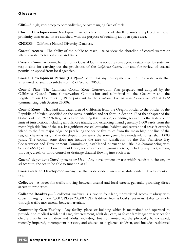**Cliff**—A high, very steep to perpendicular, or overhanging face of rock.

**Cluster Development**—Development in which a number of dwelling units are placed in closer proximity than usual, or are attached, with the purpose of retaining an open space area.

**CNDDB**—California Natural Diversity Database.

**Coastal Access**—The ability of the public to reach, use or view the shoreline of coastal waters or inland coastal recreation areas and trails.

**Coastal Commission**—The California Coastal Commission, the state agency established by state law responsible for carrying out the provisions of the *California Coastal Act* and for review of coastal permits on appeal from local agencies.

**Coastal Development Permit (CDP)**—A permit for any development within the coastal zone that is required pursuant to subdivision (a) of Section 30600.

**Coastal Plan**—The California Coastal Zone Conservation Plan prepared and adopted by the California Coastal Zone Conservation Commission and submitted to the Governor and the Legislature on December 1, 1975, pursuant to the *California Coastal Zone Conservation Act of 1972* (commencing with Section 27000).

**Coastal Zone**—That land and water area of California from the Oregon border to the border of the Republic of Mexico, specified on the maps identified and set forth in Section 17 of that chapter of the Statutes of the 1975/76 Regular Session enacting this division, extending seaward to the state's outer limit of jurisdiction, including all offshore islands, and extending inland generally 1,000 yards from the mean high tide line of the sea. In significant coastal estuarine, habitat, and recreational areas it extends inland to the first major ridgeline paralleling the sea or five miles from the mean high tide line of the sea, whichever is less, and in developed urban areas the zone generally extends inland less than 1,000 yards. The coastal zone does not include the area of jurisdiction of the San Francisco Bay Conservation and Development Commission, established pursuant to Title 7.2 (commencing with Section 66600) of the Government Code, nor any area contiguous thereto, including any river, stream, tributary, creek, or flood control or drainage channel flowing into such area.

**Coastal-dependent Development or Use—**Any development or use which requires a site on, or adjacent to, the sea to be able to function at all.

**Coastal-related Development**—Any use that is dependent on a coastal-dependent development or use.

**Collector**—A street for traffic moving between arterial and local streets, generally providing direct access to properties.

**Collector Roadway**—A collector roadway is a two-to-four-lane, unrestricted access roadway with capacity ranging from 7,000 VPD to 20,000 VPD. It differs from a local street in its ability to handle through traffic movements between arterials.

**Community Care Facility**—Any facility, place, or building which is maintained and operated to provide non-medical residential care, day treatment, adult day care, or foster family agency services for children, adults, or children and adults, including, but not limited to, the physically handicapped, mentally impaired, incompetent persons, and abused or neglected children, and includes residential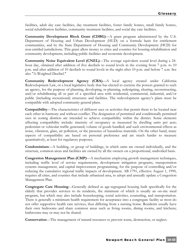facilities, adult day care facilities, day treatment facilities, foster family homes, small family homes, social rehabilitation facilities, community treatment facilities, and social day care facilities.

**Community Development Block Grant (CDBG)**—A grant program administered by the U.S. Department of Housing and Urban Development (HUD) on a formula basis for entitlement communities, and by the State Department of Housing and Community Development (HCD) for non-entitled jurisdictions. This grant allots money to cities and counties for housing rehabilitation and community development, including public facilities and economic development.

**Community Noise Equivalent Level (CNEL)**—The average equivalent sound level during a 24 hour day, obtained after addition of five decibels to sound levels in the evening from 7 p.m. to 10 p.m. and after addition of 10 decibels to sound levels in the night after 10 p.m. and before 7 a.m. See also "A-Weighted Decibel."

**Community Redevelopment Agency (CRA)—A** local agency created under California Redevelopment Law, or a local legislative body that has elected to exercise the powers granted to such an agency, for the purpose of planning, developing, re-planning, redesigning, clearing, reconstructing, and/or rehabilitating all or part of a specified area with residential, commercial, industrial, and/or public (including recreational) structures and facilities. The redevelopment agency's plans must be compatible with adopted community general plans.

**Compatibility**—The characteristics of different uses or activities that permit them to be located near each other in harmony and without conflict. The designation of permitted and conditionally permitted uses in zoning districts are intended to achieve compatibility within the district. Some elements affecting compatibility include: intensity of occupancy as measured by dwelling units per acre; pedestrian or vehicular traffic generated; volume of goods handled; and such environmental effects as noise, vibration, glare, air pollution, or the presence of hazardous materials. On the other hand, many aspects of compatibility are based on personal preference and are much harder to measure quantitatively, at least for regulatory purposes.

**Condominium**—A building, or group of buildings, in which units are owned individually, and the structure, common areas and facilities are owned by all the owners on a proportional, undivided basis.

**Congestion Management Plan (CMP)**—A mechanism employing growth management techniques, including traffic level of service requirements, development mitigation programs, transportation systems management, and capital improvement programming, for the purpose of controlling and/or reducing the cumulative regional traffic impacts of development. AB 1791, effective August 1, 1990, requires all cities, and counties that include urbanized area, to adopt and annually update a Congestion Management Plan.

**Congregate Care Housing**—Generally defined as age-segregated housing built specifically for the elderly that provides services to its residents, the minimum of which is usually an on-site meal program, but which may also include housekeeping, social activities, counseling, and transportation. There is generally a minimum health requirement for acceptance into a congregate facility as most do not offer supportive health care services, thus differing from a nursing home. Residents usually have their own bedrooms and share common areas such as living rooms, dining rooms, and kitchens; bathrooms may or may not be shared.

**Conservation**—The management of natural resources to prevent waste, destruction, or neglect.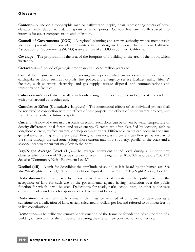**Contour**—A line on a topographic map or bathymetric (depth) chart representing points of equal elevation with relation to a datum (point or set of points). Contour lines are usually spaced into intervals for easier comprehension and utilization.

**Council of Governments (COG)**—A regional planning and review authority whose membership includes representation from all communities in the designated region. The Southern California Association of Governments (SCAG) is an example of a COG in Southern California.

**Coverage**—The proportion of the area of the footprint of a building to the area of the lot on which its stands.

**Cretaceous**—A period of geologic time spanning 136-64 million years ago.

**Critical Facility**—Facilities housing or serving many people which are necessary in the event of an earthquake or flood, such as hospitals, fire, police, and emergency service facilities, utility "lifeline" facilities, such as water, electricity, and gas supply, sewage disposal, and communications and transportation facilities.

**Cul-de-sac**—A short street or alley with only a single means of ingress and egress at one end and with a turnaround at its other end.

**Cumulative Effect (Cumulative Impacts)**—The incremental effects of an individual project shall be reviewed in connection with the effects of past projects, the effects of other current projects, and the effects of probable future projects.

**Current**—A flow of water in a particular direction. Such flows can be driven by wind, temperature or density differences, tidal forces, and wave energy. Currents are often classified by location, such as longshore current, surface current, or deep ocean currents. Different currents can occur in the same general area, resulting in different water flows, for example, a rip current can flow perpendicular to the shore through the surf zone, a long shore current may flow southerly, parallel to the coast and a seasonal deep water current may flow to the north.

**Day-Night Average Level (L<sub>dn</sub>)—The** average equivalent sound level during a 24-hour day, obtained after addition of 10 decibels to sound levels in the night after 10:00 P.M. and before 7:00 A.M. See also "Community Noise Equivalent Level."

**Decibel (dB)—A** unit for describing the amplitude of sound, as it is heard by the human ear. See also "A-Weighted Decibel," "Community Noise Equivalent Level," and "Day-Night Average Level."

**Dedication**—The turning over by an owner or developer of private land for public use, and the acceptance of land for such use by the governmental agency having jurisdiction over the public function for which it will be used. Dedications for roads, parks, school sites, or other public uses often are made conditions for approval of a development by a city.

**Dedication, In lieu of**—Cash payments that may be required of an owner or developer as a substitute for a dedication of land, usually calculated in dollars per lot, and referred to as in lieu fees of in lieu contributions.

**Demolition—The deliberate removal or destruction of the frame or foundation of any portion of a** building or structure for the purpose of preparing the site for new construction or other use.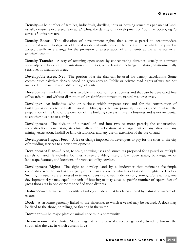**Density**—The number of families, individuals, dwelling units or housing structures per unit of land; usually density is expressed "per acre." Thus, the density of a development of 100 units occupying 20 acres is 5 units per acre.

**Density Bonus—The allocation of development rights that allow a parcel to accommodate** additional square footage or additional residential units beyond the maximum for which the parcel is zoned, usually in exchange for the provision or preservation of an amenity at the same site or at another location.

**Density Transfer—A** way of retaining open space by concentrating densities, usually in compact areas adjacent to existing urbanization and utilities, while leaving unchanged historic, environmentally sensitive, or hazardous areas.

**Developable Acres, Net**—The portion of a site that can be used for density calculations. Some communities calculate density based on gross acreage. Public or private road rights-of-way are not included in the net developable acreage of a site.

**Developable Land—Land** that is suitable as a location for structures and that can be developed free of hazards to, and without disruption of, or significant impact on, natural resource areas.

**Developer**—An individual who or business which prepares raw land for the construction of buildings or causes to be built physical building space for use primarily by others, and in which the preparation of the land or the creation of the building space is in itself a business and is not incidental to another business or activity.

**Development**—The division of a parcel of land into two or more parcels; the construction, reconstruction, conversion, structural alteration, relocation or enlargement of any structure; any mining, excavation, landfill or land disturbance, and any use or extension of the use of land.

**Development Impact Fees—A** fee or charge imposed on developers to pay for the costs to the city of providing services to a new development.

**Development Plan—A** plan, to scale, showing uses and structures proposed for a parcel or multiple parcels of land. It includes lot lines, streets, building sites, public open space, buildings, major landscape features, and locations of proposed utility services.

**Development Rights**—The right to develop land by a landowner that maintains fee-simple ownership over the land or by a party other than the owner who has obtained the rights to develop. Such rights usually are expressed in terms of density allowed under existing zoning. For example, one development right may equal one unit of housing or may equal a specific number of square feet of gross floor area in one or more specified zone districts.

**Disturbed—A** term used to identify a biological habitat that has been altered by natural or man-made events.

**Dock**—A structure generally linked to the shoreline, to which a vessel may be secured. A dock may be fixed to the shore, on pilings, or floating in the water.

**Dominant**—The major plant or animal species in a community.

**Downcoast**—In the United States usage, it is the coastal direction generally trending toward the south; also the way in which current flows.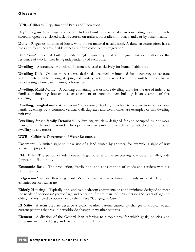**DPR**—California Department of Parks and Recreation.

**Dry Storage**—Dry storage of vessels includes all on-land storage of vessels including vessels normally stored in open or enclosed rack structures, on trailers, on cradles, on boat stands, or by other means.

**Dune**—Ridges or mounds of loose, wind-blown material usually sand. A dune structure often has a back and foredune area. Stable dunes are often colonized by vegetation.

**Duplex—A** detached building under single ownership that is designed for occupation as the residence of two families living independently of each other.

**Dwelling**—A structure or portion of a structure used exclusively for human habitation.

**Dwelling Unit—One or more rooms, designed, occupied or intended for occupancy as separate** living quarters, with cooking, sleeping and sanitary facilities provided within the unit for the exclusive use of a single family maintaining a household.

**Dwelling, Multi-family—A** building containing two or more dwelling units for the use of individual families maintaining households; an apartment or condominium building is an example of this dwelling unit type.

**Dwelling, Single-family Attached**—A one-family dwelling attached to one or more other onefamily dwellings by a common vertical wall; duplexes and townhomes are examples of this dwelling unit type.

**Dwelling, Single-family Detached—A** dwelling which is designed for and occupied by not more than one family and surrounded by open space or yards and which is not attached to any other dwelling by any means.

**DWR**—California Department of Water Resources.

**Easement**—A limited right to make use of a land owned by another, for example, a right of way across the property.

**Ebb Tide**—The period of tide between high water and the succeeding low water; a falling tide  $\text{(opposite = flood tide)}.$ 

**Economic Base**—The production, distribution, and consumption of goods and services within a planning area.

**Eelgrass**—A marine flowering plant (Zostera marina) that is found primarily in coastal bays and estuaries on soft substrate.

**Elderly Housing**—Typically one- and two-bedroom apartments or condominiums designed to meet the needs of persons 62 years of age and older or, if more than 150 units, persons 55 years of age and older, and restricted to occupancy by them. (See "Congregate Care.")

**El Niño**—A term used to describe a cyclic weather pattern caused by changes in tropical ocean current patterns that result in worldwide changes in weather patterns.

**Element**—A division of the General Plan referring to a topic area for which goals, policies, and programs are defined (e.g., land use, housing, circulation).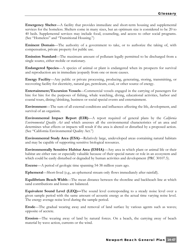**Emergency Shelter**—A facility that provides immediate and short-term housing and supplemental services for the homeless. Shelters come in many sizes, but an optimum size is considered to be 20 to 40 beds. Supplemental services may include food, counseling, and access to other social programs. (See "Homeless" and "Transitional Housing.")

**Eminent Domain**—The authority of a government to take, or to authorize the taking of, with compensation, private property for public use.

**Emission Standard**—The maximum amount of pollutant legally permitted to be discharged from a single source, either mobile or stationary.

**Endangered Species**—A species of animal or plant is endangered when its prospects for survival and reproduction are in immediate jeopardy from one or more causes.

**Energy Facility**—Any public or private processing, producing, generating, storing, transmitting, or recovering facility for electricity, natural gas, petroleum, coal, or other source of energy.

**Entertainment/Excursion Vessels**—Commercial vessels engaged in the carrying of passengers for hire for hire for the purposes of fishing, whale watching, diving, educational activities, harbor and coastal tours, dining/drinking, business or social special events and entertainment.

**Environment**—The sum of all external conditions and influences affecting the life, development, and survival of an organism.

**Environmental Impact Report (EIR)**—A report required of general plans by the *California Environmental Quality Act* and which assesses all the environmental characteristics of an area and determines what effects or impacts will result if the area is altered or disturbed by a proposed action. (See "California Environmental Quality Act.")

**Environmental Study Area (ESA)**—Relatively large, undeveloped areas containing natural habitats and may be capable of supporting sensitive biological resources.

**Environmentally Sensitive Habitat Area (ESHA)**—Any area in which plant or animal life or their habitat are either rare or especially valuable because of their special nature or role in an ecosystem and which could be easily disturbed or degraded by human activities and development (PRC 30107.5).

**Eocene**—A period of geologic time spanning 54-38 million years ago.

**Ephemeral**—Short-lived (e.g., an ephemeral stream only flows immediately after rainfall).

**Equilibrium Beach Width**—The mean distance between the shoreline and backbeach line at which sand contributions and losses are balanced.

**Equivalent Sound Level (LEQ)—**The sound level corresponding to a steady noise level over a given sample period with the same amount of acoustic energy as the actual time varying noise level. The energy average noise level during the sample period.

**Erode**—The gradual wearing away and removal of land surface by various agents such as waves; opposite of accrete.

**Erosion**—The wearing away of land by natural forces. On a beach, the carrying away of beach material by wave action, currents or the wind.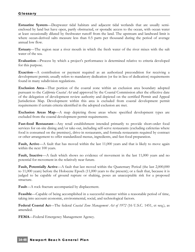**Estuarine System**—Deepwater tidal habitats and adjacent tidal wetlands that are usually semienclosed by land but have open, partly obstructed, or sporadic access to the ocean, with ocean water at least occasionally diluted by freshwater runoff from the land. The upstream and landward limit is where ocean-derived salts measure less than 0.5 parts per thousand during the period of average annual low flow.

**Estuary**—The region near a river mouth in which the fresh water of the river mixes with the salt water of the sea.

**Evaluation**—Process by which a project's performance is determined relative to criteria developed for this purpose.

**Exaction—A** contribution or payment required as an authorized precondition for receiving a development permit; usually refers to mandatory dedication (or fee in lieu of dedication) requirements found in many subdivision regulations.

**Exclusion Area**—That portion of the coastal zone within an exclusion area boundary adopted pursuant to the *California Coastal Act* and approved by the Coastal Commission after the effective date of the delegation of development review authority and depicted on the certified Permit and Appeal Jurisdiction Map. Development within this area is excluded from coastal development permit requirements if certain criteria identified in the adopted exclusion are met.

**Exclusion Areas Map**—A map depicting those areas where specified development types are excluded from the coastal development permit requirements.

**Fast-food Restaurant**—Any retail establishment intended primarily to provide short-order food services for on-site dining and/or take-out, including self-serve restaurants (excluding cafeterias where food is consumed on the premises), drive-in restaurants, and formula restaurants required by contract or other arrangement to offer standardized menus, ingredients, and fast-food preparation.

**Fault, Active—A** fault that has moved within the last 11,000 years and that is likely to move again within the next 100 years.

**Fault, Inactive**—A fault which shows no evidence of movement in the last 11,000 years and no potential for movement in the relatively near future.

**Fault, Potentially Active—A** fault that last moved within the Quaternary Period (the last 2,000,000 to 11,000 years) before the Holocene Epoch (11,000 years to the present); or a fault that, because it is judged to be capable of ground rupture or shaking, poses an unacceptable risk for a proposed structure.

**Fault**—A rock fracture accompanied by displacement.

**Feasible**—Capable of being accomplished in a successful manner within a reasonable period of time, taking into account economic, environmental, social, and technological factors.

**Federal Coastal Act**—The federal *Coastal Zone Management Act of 1972* (16 U.S.C. 1451, et seq.), as amended.

**FEMA**—Federal Emergency Management Agency.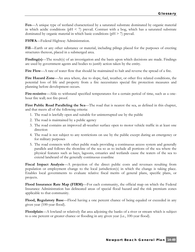**Fen**—A unique type of wetland characterized by a saturated substrate dominated by organic material in which acidic conditions ( $pH < 7$ ) prevail. Contrast with a bog, which has a saturated substrate dominated by organic material in which basic conditions ( $pH > 7$ ) prevail.

**FHWA**—Federal Highway Administration.

**Fill**—Earth or any other substance or material, including pilings placed for the purposes of erecting structures thereon, placed in a submerged area.

**Finding(s)—The result(s)** of an investigation and the basis upon which decisions are made. Findings are used by government agents and bodies to justify action taken by the entity.

**Fire Flow—A** rate of water flow that should be maintained to halt and reverse the spread of a fire.

**Fire Hazard Zone**—An area where, due to slope, fuel, weather, or other five related conditions, the potential loss of life and property from a fire necessitates special fire protection measures and planning before development occurs.

**Fire-resistive**—Able to withstand specified temperatures for a certain period of time, such as a onehour fire wall; not fire-proof.

**First Public Road Paralleling the Sea**—The road that is nearest the sea, as defined in this chapter, and that meets all of the following criteria:

- 1. The road is lawfully open and suitable for uninterrupted use by the public
- 2. The road is maintained by a public agency
- 3. The road contains an improved all-weather surface open to motor vehicle traffic in at least one direction
- 4. The road is not subject to any restrictions on use by the public except during an emergency or for military purposes
- 5. The road connects with other public roads providing a continuous access system and generally parallels and follows the shoreline of the sea so as to include all portions of the sea where the physical features such as bays, lagoons, estuaries and wetlands cause the waters of the sea to extend landward of the generally continuous coastline

**Fiscal Impact Analysis**—A projection of the direct public costs and revenues resulting from population or employment change to the local jurisdiction(s) in which the change is taking place. Enables local governments to evaluate relative fiscal merits of general plans, specific plans, or projects.

**Flood Insurance Rate Map (FIRM)**—For each community, the official map on which the Federal Insurance Administration has delineated areas of special flood hazard and the risk premium zones applicable to that community.

**Flood, Regulatory Base**—Flood having a one percent chance of being equaled or exceeded in any given year (100-year flood).

**Floodplain**—A lowland or relatively flat area adjoining the banks of a river or stream which is subject to a one percent or greater chance or flooding in any given year (i.e., 100-year flood).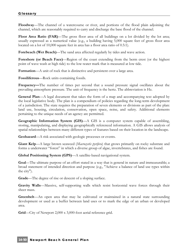**Floodway**—The channel of a watercourse or river, and portions of the flood plain adjoining the channel, which are reasonably required to carry and discharge the base flood of the channel.

Floor Area Ratio (FAR)—The gross floor area of all buildings on a lot divided by the lot area; usually expressed as a numerical value (e.g., a building having 5,000 square feet of gross floor area located on a lot of 10,000 square feet in area has a floor area ratio of 0.5:1).

**Forebeach (Wet Beach)**—The sand area affected regularly by tides and wave action.

**Foreshore (or Beach Face)—Region of the coast extending from the berm crest (or the highest** point of wave wash at high tide) to the low-water mark that is measured at low tide.

**Formation—**A unit of rock that is distinctive and persistent over a large area.

**Fossiliferous**—Rock units containing fossils.

**Frequency—**The number of times per second that a sound pressure signal oscillates about the prevailing atmosphere pressure. The unit of frequency is the hertz. The abbreviation is Hz.

**General Plan**—A legal document that takes the form of a map and accompanying text adopted by the local legislative body. The plan is a compendium of policies regarding the long-term development of a jurisdiction. The state requires the preparation of seven elements or divisions as part of the plan: land use, housing, circulation, conservation, open space, noise, and safety. Additional elements pertaining to the unique needs of an agency are permitted.

**Geographic Information System (GIS)**—A GIS is a computer system capable of assembling, storing, manipulating, and displaying geographically referenced information. A GIS allows analysis of spatial relationships between many different types of features based on their location in the landscape.

**Geohazard**—A risk associated with geologic processes or events.

**Giant Kelp**—A large brown seaweed (*Macrocystis pyrifera*) that grows primarily on rocky substrate and forms a underwater "forest" in which a diverse group of algae, invertebrates, and fishes are found.

**Global Positioning System (GPS)**—A satellite-based navigational system.

**Goal**—The ultimate purpose of an effort stated in a way that is general in nature and immeasurable; a broad statement of intended direction and purpose (e.g., "Achieve a balance of land use types within the city").

**Grade**—The degree of rise or descent of a sloping surface.

**Gravity Walls**—Massive, self-supporting walls which resist horizontal wave forces through their sheer mass.

**Greenbelt**—An open area that may be cultivated or maintained in a natural state surrounding development or used as a buffer between land uses or to mark the edge of an urban or developed area.

**Grid**—City of Newport 2,000 x 3,000-foot aerial reference grid.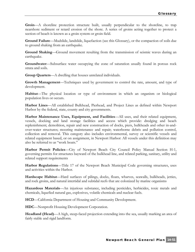**Groin**—A shoreline protection structure built, usually perpendicular to the shoreline, to trap nearshore sediment or retard erosion of the shore. A series of groins acting together to protect a section of beach is known as a groin system or groin field.

**Ground Failure**—Mudslide, landslide, liquefaction (see this Glossary), or the compaction of soils due to ground shaking from an earthquake.

**Ground Shaking**—Ground movement resulting from the transmission of seismic waves during an earthquake.

**Groundwater**—Subsurface water occupying the zone of saturation usually found in porous rock strata and soils.

**Group Quarters**—A dwelling that houses unrelated individuals.

**Growth Management**—Techniques used by government to control the rate, amount, and type of development.

**Habitat**—The physical location or type of environment in which an organism or biological population lives or occurs.

**Harbor Lines**—All established Bulkhead, Pierhead, and Project Lines as defined within Newport Harbor by the federal, state, county and city governments.

**Harbor Maintenance Uses, Equipment, and Facilities**—All uses, and their related equipment, vessels, docking and land storage facilities and access which provide: dredging and beach replenishment; demolition, repair and new construction of docks, piers, bulkheads and other in-andover-water structures; mooring maintenance and repair; waterborne debris and pollution control, collection and removal. This category also includes environmental, survey or scientific vessels and related equipment based, or on assignment, in Newport Harbor: All vessels under this definition may also be referred to as "work boats."

**Harbor Permit Policies**—City of Newport Beach City Council Policy Manual Section H-1, governing permits for structures bayward of the bulkhead line, and related parking, sanitary, utility and related support requirements

**Harbor Regulations**—Title 17 of the Newport Beach Municipal Code governing structures, uses and activities within the Harbor.

**Hardscape Habitat**—Hard surfaces of pilings, docks, floats, wharves, seawalls, bulkheads, jetties, and rock groins, and natural intertidal and subtidal reefs that are colonized by marine organisms

**Hazardous Materials**—An injurious substance, including pesticides, herbicides, toxic metals and chemicals, liquefied natural gas, explosives, volatile chemicals and nuclear fuels.

**HCD**—California Department of Housing and Community Development.

**HDC**—Nonprofit Housing Development Corporation.

**Headland (Head)**—A high, steep-faced projection extending into the sea, usually marking an area of fairly stable and rigid landform.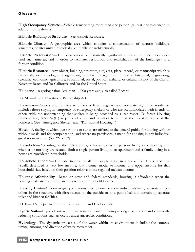**High Occupancy Vehicle—Vehicle transporting more than one person (at least one passenger, in** addition to the driver).

**Historic Building or Structure**—See Historic Resource.

**Historic District**—A geographic area which contains a concentration of historic buildings, structures, or sites united historically, culturally, or architecturally.

**Historic Preservation**—The preservation of historically significant structures and neighborhoods until such time as, and in order to facilitate, restoration and rehabilitation of the building(s) to a former condition.

**Historic Resource**—Any object, building, structure, site, area, place, record, or manuscript which is historically or archeologically significant, or which is significant in the architectural, engineering, scientific, economic, agriculture, educational, social, political, military, or cultural history of the City of Newport Beach and/or California and/or the United States.

**Holocene**—n geologic time, less than 11,000 years ago; also called Recent.

**HOME**—Home Investment Partnership Act.

**Homeless**—Persons and families who lack a fixed, regular, and adequate nighttime residence. Includes those staying in temporary or emergency shelters or who are accommodated with friends or others with the understanding that shelter is being provided as a last resort. California Housing Element law,  $\delta$ 6583(c)(1) requires all cities and counties to address the housing needs of the homeless. (See "Emergency Shelter" and "Transitional Housing.")

**Hotel**—A facility in which guest rooms or suites are offered to the general public for lodging with or without meals and for compensation, and where no provisions is made for cooking in any individual guest room or suite. (See "Motel.")

**Household**—According to the U.S. Census, a household is all persons living in a dwelling unit whether or not they are related. Both a single person living in an apartment and a family living in a house are considered households.

**Household Income**—The total income of all the people living in a household. Households are usually described as very low income, low income, moderate income, and upper income for that household size, based on their position relative to the regional median income.

**Housing Affordability**—Based on state and federal standards, housing is affordable when the housing costs are no more than 30 percent of household income.

**Housing Unit**—A room or group of rooms used by one or more individuals living separately from others in the structure, with direct access to the outside or to a public hall and containing separate toilet and kitchen facilities.

**HUD**—U.S. Department of Housing and Urban Development.

**Hydric Soil**—A type of soil with characteristics resulting from prolonged saturation and chemically reducing conditions such as occurs under anaerobic conditions.

**Hydrology**—The dynamic processes of the water within an environment including the sources, timing, amount, and direction of water movement.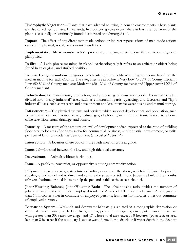**Hydrophytic Vegetation**—Plants that have adapted to living in aquatic environments. These plants are also called hydrophytes. In wetlands, hydrophytic species occur where at least the root zone of the plant is seasonally or continually found in saturated or submerged soil.

**Impact**—The effect of any direct man-made actions or indirect repercussions of man-made actions on existing physical, social, or economic conditions.

**Implementation Measure**—An action, procedure, program, or technique that carries out general plan policy.

**In Situ**—A Latin phrase meaning "in place." Archaeologically it refers to an artifact or object being found in its original, undisturbed position.

**Income Categories**—Four categories for classifying households according to income based on the median income for each County. The categories are as follows: Very Low (0-50% of County median); Low (50-80% of County median); Moderate (80-120% of County median); and Upper (over 120% of County median).

**Industrial**—The manufacture, production, and processing of consumer goods. Industrial is often divided into "heavy industrial" uses, such as construction yards, quarrying, and factories; and "light industrial" uses, such as research and development and less intensive warehousing and manufacturing.

**Infrastructure**—The physical systems and services which support development and population, such as roadways, railroads, water, sewer, natural gas, electrical generation and transmission, telephone, cable television, storm drainage, and others.

**Intensity**—A measure of the amount or level of development often expressed as the ratio of building floor area to lot area (floor area ratio) for commercial, business, and industrial development, or units per acre of land for residential development (also called "density").

**Intersection**—A location where two or more roads meet or cross at grade.

**Intertidal—**Located between the low and high tide tidal extremes.

**Invertebrates**—Animals without backbones.

**Issue**—A problem, constraint, or opportunity requiring community action.

**Jetty**—On open seacoasts, a structure extending away from the shore, which is designed to prevent shoaling of a channel and to direct and confine the stream or tidal flow. Jetties are built at the mouths of rivers, harbors, or tidal inlets to help deepen and stabilize the access channel.

**Jobs/Housing Balance; Jobs/Housing Ratio**—The jobs/housing ratio divides the number of jobs in an area by the number of employed residents. A ratio of 1.0 indicates a balance. A ratio greater than 1.0 indicates a net in-commute of employed persons; less than 1.0 indicates a net out-commute of employed persons.

**Lacustrine System**—Wetlands and deepwater habitats (1) situated in a topographic depression or dammed river channel; (2) lacking trees, shrubs, persistent emergents, emergent mosses, or lichens with greater than 30% area coverage; and (3) whose total area exceeds 8 hectares (20 acres); or area less than 8 hectares if the boundary is active wave-formed or bedrock or if water depth in the deepest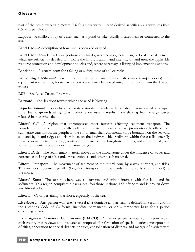part of the basin exceeds 2 meters (6.6 ft) at low water. Ocean-derived salinities are always less than 0.5 parts per thousand.

**Lagoon**—A shallow body of water, such as a pond or lake, usually located near or connected to the sea.

**Land Use**—A description of how land is occupied or used.

**Land Use Plan**—The relevant portions of a local government's general plan, or local coastal element which are sufficiently detailed to indicate the kinds, location, and intensity of land uses, the applicable resource protection and development policies and, where necessary, a listing of implementing actions.

**Landslide**—A general term for a falling or sliding mass of soil or rocks.

**Launching Facility**—A generic term referring to any location, structures (ramps, docks) and equipment (cranes, lifts, hoists, etc.) where vessels may be placed into, and retrieved from the Harbor waters.

**LCP**—See Local Coastal Program.

**Leeward**—The direction toward which the wind is blowing.

**Liquefaction**—A process by which water-saturated granular soils transform from a solid to a liquid state due to groundshaking. This phenomenon usually results from shaking from energy waves released in an earthquake.

**Littoral Cell**—A region that encompasses most features affecting sediment transport. The boundaries of the cell are usually delineated by river drainage areas, promontory headlands, or submarine canyons on the periphery, the continental shelf-continental slope boundary on the seaward side and by inland ridges and river inlets on the landward side. Sediment within these cells generally travel seaward by river drainage, southward (downcoast) by longshore currents, and are eventually lost to the continental slope area or submarine canyon.

**Littoral Drift**—The sedimentary material moved in the littoral zone under the influence of waves and currents; consisting of silt, sand, gravel, cobbles, and other beach material.

**Littoral Transport**—The movement of sediment in the littoral zone by waves, currents, and tides. This includes movement parallel (longshore transport) and perpendicular (on-offshore transport) to the shore.

**Littoral Zone**—The region where waves, currents, and winds interact with the land and its sediments. This region comprises a backshore, foreshore, inshore, and offshore and is broken down into littoral cells.

**Littoral**—Of or pertaining to a shore, especially of the sea.

**Liveaboard**—Any person who uses a vessel as a domicile as that term is defined in Section 200 of the Elections Code of California, including permanently or on a temporary basis for a period exceeding 3 days.

**Local Agency Formation Commission (LAFCO)**—A five or seven-member commission within each county that reviews and evaluates all proposals for formation of special districts, incorporation of cities, annexation to special districts or cities, consolidation of districts, and merger of districts with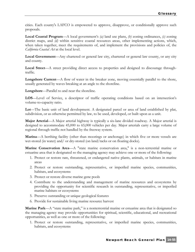cities. Each county's LAFCO is empowered to approve, disapprove, or conditionally approve such proposals.

**Local Coastal Program**—A local government's *(a)* land use plans, *(b)* zoning ordinances, *(c)* zoning district maps, and *(d)* within sensitive coastal resources areas, other implementing actions, which, when taken together, meet the requirements of, and implement the provisions and policies of, the *California Coastal Act* at the local level.

**Local Government**—Any chartered or general law city, chartered or general law county, or any city and county.

**Local Street**—A street providing direct access to properties and designed to discourage throughtraffic.

**Longshore Current**—A flow of water in the breaker zone, moving essentially parallel to the shore, usually generated by waves breaking at an angle to the shoreline.

**Longshore**—Parallel to and near the shoreline.

**LOS**—Level of Service, a descriptor of traffic operating conditions based on an intersection's volume-to-capacity ratio.

**Lot**—The basic unit of land development. A designated parcel or area of land established by plat, subdivision, or as otherwise permitted by law, to be used, developed, or built upon as a unit.

**Major Arterial**—A Major arterial highway is typically a six-lane divided roadway. A Major arterial is designed to accommodate 45,000 to 65,000 vehicles per day. Major arterials carry a large volume of regional through traffic not handled by the freeway system.

**Marina**—A berthing facility (other than moorings or anchorage) in which five or more vessels are wet-stored (in water) and/ or dry-stored (on land/racks or on floating docks).

**Marine Conservation Area**—A "state marine conservation area," is a non-terrestrial marine or estuarine area that is designated so the managing agency may achieve one or more of the following:

- 1. Protect or restore rare, threatened, or endangered native plants, animals, or habitats in marine areas
- 2. Protect or restore outstanding, representative, or imperiled marine species, communities, habitats, and ecosystems
- 3. Protect or restore diverse marine gene pools
- 4. Contribute to the understanding and management of marine resources and ecosystems by providing the opportunity for scientific research in outstanding, representative, or imperiled marine habitats or ecosystems
- 5. Preserve outstanding or unique geological features
- 6. Provide for sustainable living marine resource harvest

**Marine Park—A** "state marine park," is a nonterrestrial marine or estuarine area that is designated so the managing agency may provide opportunities for spiritual, scientific, educational, and recreational opportunities, as well as one or more of the following:

1. Protect or restore outstanding, representative, or imperiled marine species, communities, habitats, and ecosystems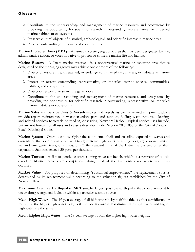- 2. Contribute to the understanding and management of marine resources and ecosystems by providing the opportunity for scientific research in outstanding, representative, or imperiled marine habitats or ecosystems
- 3. Preserve cultural objects of historical, archaeological, and scientific interest in marine areas
- 4. Preserve outstanding or unique geological features

**Marine Protected Area (MPA)—A** named discrete geographic area that has been designated by law, administrative action, or voter initiative to protect or conserve marine life and habitat.

Marine Reserve—A "state marine reserve," is a nonterrestrial marine or estuarine area that is designated so the managing agency may achieve one or more of the following:

- 1. Protect or restore rare, threatened, or endangered native plants, animals, or habitats in marine areas
- 2. Protect or restore outstanding, representative, or imperiled marine species, communities, habitats, and ecosystems
- 3. Protect or restore diverse marine gene pools
- 4. Contribute to the understanding and management of marine resources and ecosystems by providing the opportunity for scientific research in outstanding, representative, or imperiled marine habitats or ecosystems

**Marine Sales and Service Uses & Vessels**—Uses and vessels, as well as related equipment, which provide repair, maintenance, new construction, parts and supplies, fueling, waste removal, cleaning, and related services to vessels berthed in, or visiting, Newport Harbor. Typical service uses include, but are not limited to, all uses and vessels described under Section 20.05.050 of the City of Newport Beach Municipal Code.

**Marine System**—Open ocean overlying the continental shelf and coastline exposed to waves and currents of the open ocean shoreward to (1) extreme high water of spring tides; (2) seaward limit of wetland emergents, trees, or shrubs; or (3) the seaward limit of the Estuarine System, other than vegetation. Salinities exceed 30 parts per thousand.

**Marine Terrace**—A flat or gentle seaward sloping wave-cut bench, which is a remnant of an old coastline. Marine terraces are conspicuous along most of the California coast where uplift has occurred.

**Market Value**—For purposes of determining "substantial improvement," the replacement cost as determined by its replacement value according to the valuation figures established by the City of Newport Beach.

**Maximum Credible Earthquake (MCE)—The largest possible earthquake that could reasonably** occur along recognized faults or within a particular seismic source.

**Mean High Water**—The 19-year average of all high water heights (if the tide is either semidiurnal or mixed) or the higher high water heights if the tide is diurnal. For diurnal tides high water and higher high water are the same.

**Mean Higher High Water**—The 19-year average of only the higher high water heights.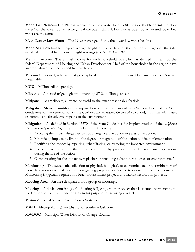**Mean Low Water**—The 19-year average of all low water heights (if the tide is either semidiurnal or mixed) or the lower low water heights if the tide is diurnal. For diurnal tides low water and lower low water are the same.

**Mean Lower Low Water**—The 19-year average of only the lower low water heights.

**Mean Sea Level**—The 19-year average height of the surface of the sea for all stages of the tide, usually determined from hourly height readings (see NGVD of 1929).

**Median Income**—The annual income for each household size which is defined annually by the federal Department of Housing and Urban Development. Half of the households in the region have incomes above the median and half are below.

**Mesa**—An isolated, relatively flat geographical feature, often demarcated by canyons (from Spanish mesa, table).

**MGD**—Million gallons per day.

**Miocene**—A period of geologic time spanning 27-26 million years ago.

**Mitigate**—To ameliorate, alleviate, or avoid to the extent reasonably feasible.

**Mitigation Measures**—Measures imposed on a project consistent with Section 15370 of the State Guidelines for Implementation of the *California Environmental Quality Act* to avoid, minimize, eliminate, or compensate for adverse impacts to the environment.

**Mitigation**—As defined in Section 15370 of the State Guidelines for Implementation of the *California Environmental Quality Act*, mitigation includes the following:

- 1. Avoiding the impact altogether by not taking a certain action or parts of an action.
- 2. Minimizing impacts by limiting the degree or magnitude of the action and its implementation.
- 3. Rectifying the impact by repairing, rehabilitating, or restoring the impacted environment.
- 4. Reducing or eliminating the impact over time by preservation and maintenance operations during the life of the action.
- 5. Compensating for the impact by replacing or providing substitute resources or environments."

**Monitoring**—The systematic collection of physical, biological, or economic data or a combination of these data in order to make decisions regarding project operation or to evaluate project performance. Monitoring is typically required for beach nourishment projects and habitat restoration projects.

**Mooring Area**—An area designated for a group of moorings.

**Mooring**—A device consisting of a floating ball, can, or other object that is secured permanently to the Harbor bottom by an anchor system for purposes of securing a vessel.

**MS4**—Municipal Separate Storm Sewer Systems.

**MWD**—Metropolitan Water District of Southern California.

**MWDOC**—Municipal Water District of Orange County.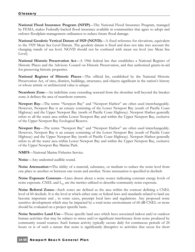**National Flood Insurance Program (NFIP)**—The National Flood Insurance Program, managed by FEMA, makes Federally-backed flood insurance available in communities that agree to adopt and enforce floodplain management ordinances to reduce future flood damage.

**National Geodetic Vertical Datum of 1929 (NGVD)**—A fixed reference for elevations, equivalent to the 1929 Mean Sea Level Datum. The geodetic datum is fixed and does not take into account the changing stands of sea level. NGVD should not be confused with mean sea level (see Mean Sea Level).

**National Historic Preservation Act**—A 1966 federal law that establishes a National Register of Historic Places and the Advisory Council on Historic Preservation, and that authorized grants-in-aid for preserving historic properties.

**National Register of Historic Places**—The official list, established by the National Historic Preservation Act, of sites, districts, buildings, structures, and objects significant in the nation's history or whose artistic or architectural value is unique.

**Nearshore Zone**—An indefinite zone extending seaward from the shoreline well beyond the breaker zone; it defines the area of nearshore currents.

**Newport Bay**—The terms "Newport Bay" and "Newport Harbor" are often used interchangeably. However, Newport Bay is an estuary consisting of the Lower Newport Bay (south of Pacific Coast Highway) and the Upper Newport Bay (north of Pacific Coast Highway). Newport Harbor generally refers to all the water area within Lower Newport Bay and within the Upper Newport Bay, exclusive of the Upper Newport Bay Ecological Reserve.

**Newport Bay**—The terms "Newport Bay" and "Newport Harbor" are often used interchangeably. However, Newport Bay is an estuary consisting of the Lower Newport Bay (south of Pacific Coast Highway) and the Upper Newport Bay (north of Pacific Coast Highway). Newport Harbor generally refers to all the water area within Lower Newport Bay and within the Upper Newport Bay, exclusive of the Upper Newport Bay Marine Park.

**NMFS**—National Marine Fisheries Service.

**Noise**—Any undesired audible sound.

**Noise Attenuation—**The ability of a material, substance, or medium to reduce the noise level from one place to another or between one room and another. Noise attenuation is specified in decibels

**Noise Exposure Contours**—Lines drawn about a noise source indicating constant energy levels of noise exposure. CNEL and  $L_{dn}$  are the metrics utilized to describe community noise exposure.

**Noise Referral Zones**—Such zones are defined as the area within the contour defining a CNEL level of 60 decibels. It is the level at which either state or federal laws and standards related to land use become important and , in some cases, preempt local laws and regulations. Any proposed noise sensitive development which may be impacted by a total noise environment of 60 dB CNEL or more should be evaluated on a project specific basis.

**Noise Sensitive Land Use**—Those specific land uses which have associated indoor and/or outdoor human activities that may be subject to stress and/or significant interference from noise produced by community sound sources. Such human activity typically occurs daily for continuous periods of 24 hours or is of such a nature that noise is significantly disruptive to activities that occur for short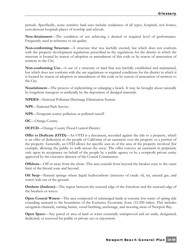periods. Specifically, noise sensitive land uses include: residences of all types, hospitals, rest homes, convalescent hospitals places of worship and schools.

**Non-Attainment**—The condition of not achieving a desired or required level of performance. Frequently used in reference to air quality.

**Non-conforming Structure**—A structure that was lawfully erected, but which does not conform with the property development regulations prescribed in the regulations for the district in which the structure is located by reason of adoption or amendment of this code or by reason of annexation of territory to the City.

**Non-conforming Use**—A use of a structure or land that was lawfully established and maintained, but which does not conform with the use regulations or required conditions for the district in which it is located by reason of adoption or amendment of this code or by reason of annexation of territory to the City.

**Nourishment**—The process of replenishing or enlarging a beach. It may be brought about naturally by longshore transport or artificially by the deposition of dredged materials.

**NPDES**—National Pollutant Discharge Elimination System.

**NPS**—National Park Service.

**NPS**—Nonpoint source pollution or polluted runoff.

**OC**—Orange County.

**OCFCD**—Orange County Flood Control District.

**Offer to Dedicate (OTD)—An** OTD is a document, recorded against the title to a property, which is an offer of dedication to the people of California of an easement over the property or a portion of the property. Generally, an OTD allows for specific uses in of the area of the property involved (for example, allowing the public to walk across the area). The offer conveys an easement in perpetuity only upon its acceptance on behalf of the people by a public agency or by a nonprofit private entity approved by the executive director of the Coastal Commission.

**Offshore**—Off or away from the shore. This area extends from beyond the breaker zone to the outer limit of the littoral zone and beyond.

**Oil Seep**—Natural springs where liquid hydrocarbons (mixtures of crude oil, tar, natural gas, and water) leak out of the ground.

**Onshore (Inshore)—The region between the seaward edge of the foreshore and the seaward edge of** the breakers or waves.

**Open Coastal Waters**—The area composed of submerged lands at extreme low-water of spring tide extending seaward to the boundaries of the Exclusive Economic Zone (12-200 miles). This includes navigation channels, turning basins, vessel berthing, anchorage, and mooring areas of Newport Bay.

**Open Space**—Any parcel or area of land or water essentially unimproved and set aside, designated, dedicated, or reserved for public or private use or enjoyment.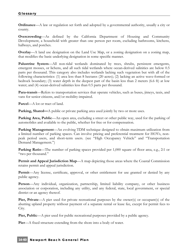**Ordinance—A** law or regulation set forth and adopted by a governmental authority, usually a city or county.

**Overcrowding**—As defined by the California Department of Housing and Community Development, a household with greater than one person per room, excluding bathrooms, kitchens, hallways, and porches.

**Overlay**—A land use designation on the Land Use Map, or a zoning designation on a zoning map, that modifies the basic underlying designation in some specific manner.

**Palustrine System**—All non-tidal wetlands dominated by trees, shrubs, persistent emergents, emergent mosses, or lichens, and all such tidal wetlands where ocean-derived salinities are below 0.5 parts per thousand. This category also includes wetlands lacking such vegetation but with all of the following characteristics: (1) area less than 8 hectares (20 acres); (2) lacking an active wave-formed or bedrock boundary; (3) water depth in the deepest part of the basin less than 2 meters (6.6 ft) at low water; and (4) ocean-derived salinities less than 0.5 parts per thousand.

**Para-transit**—Refers to transportation services that operate vehicles, such as buses, jitneys, taxis, and vans for senior citizens, and/or mobility-impaired.

**Parcel**—A lot or tract of land.

**Parking, Shared—**A public or private parking area used jointly by two or more uses.

**Parking Area, Public—An** open area, excluding a street or other public way, used for the parking of automobiles and available to the public, whether for free or for compensation.

**Parking Management**—An evolving TDM technique designed to obtain maximum utilization from a limited number of parking spaces. Can involve pricing and preferential treatment for HOVs, nonpeak period users, and short-term users. (see "High Occupancy Vehicle" and "Transportation Demand Management.")

**Parking Ratio**—The number of parking spaces provided per 1,000 square of floor area, e.g., 2:1 or "two per thousand."

**Permit and Appeal Jurisdiction Map—A** map depicting those areas where the Coastal Commission retains permit and appeal jurisdiction.

**Permit**—Any license, certificate, approval, or other entitlement for use granted or denied by any public agency.

**Person**—Any individual, organization, partnership, limited liability company, or other business association or corporation, including any utility, and any federal, state, local government, or special district or an agency thereof.

**Pier, Private—A** pier used for private recreational purposes by the owner(s) or occupant(s) of the abutting upland property without payment of a separate rental or lease fee, except for permit fees to City.

**Pier, Public**—A pier used for public recreational purposes provided by a public agency.

**Pier**—A fixed structure extending from the shore into a body of water.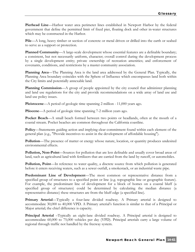**Pierhead Line**—Harbor water area perimeter lines established in Newport Harbor by the federal government that define the permitted limit of fixed pier, floating dock and other in-water structures which may be constructed in the Harbor.

**Pile**—A long, heavy timber or section of concrete or metal driven or drilled into the earth or seabed to serve as a support or protection.

**Planned Community**—A large-scale development whose essential features are a definable boundary; a consistent, but not necessarily uniform, character; overall control during the development process by a single development entity; private ownership of recreation amenities; and enforcement of covenants, conditions, and restrictions by a master community association.

**Planning Area**—The Planning Area is the land area addressed by the General Plan. Typically, the Planning Area boundary coincides with the Sphere of Influence which encompasses land both within the City limits and potentially annexable land.

**Planning Commission**—A group of people appointed by the city council that administer planning and land use regulations for the city and provide recommendations on a wide array of land use and land use policy issues.

**Pleistocene**—A period of geologic time spanning 2 million - 11,000 years ago.

**Pliocene**—A period of geologic time spanning 7-2 million years ago.

**Pocket Beach**—A small beach formed between two points or headlands, often at the mouth of a coastal stream. Pocket beaches are common throughout the California coastline.

**Policy**—Statements guiding action and implying clear commitment found within each element of the general plan (e.g., "Provide incentives to assist in the development of affordable housing").

**Pollution—The presence of matter or energy whose nature, location, or quantity produces undesired** environmental effects.

**Pollution, Non-Point**—Sources for pollution that are less definable and usually cover broad areas of land, such as agricultural land with fertilizers that are carried from the land by runoff, or automobiles.

**Pollution, Point—In** reference to water quality, a discrete source from which pollution is generated before it enters receiving waters, such as a sewer outfall, a smokestack, or an industrial waste pipe.

**Predominant Line of Development**—The most common or representative distance from a specified group of structures to a specified point or line (e.g. topographic line or geographic feature). For example, the predominant line of development for a block of homes on a coastal bluff (a specified group of structures) could be determined by calculating the median distance (a representative distance) these structures are from the bluff edge (a specified line).

**Primary Arterial**—Typically a four-lane divided roadway. A Primary arterial is designed to accommodate 30,000 to 40,000 VPD. A Primary arterial's function is similar to that of a Principal or Major arterial; the chief difference is capacity.

**Principal Arterial** –Typically an eight-lane divided roadway. A Principal arterial is designed to accommodate 60,000 to 75,000 vehicles per day (VPD). Principal arterials carry a large volume of regional through traffic not handled by the freeway system.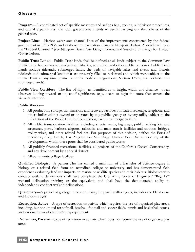**Program**—A coordinated set of specific measures and actions (e.g., zoning, subdivision procedures, and capital expenditures) the local government intends to use in carrying out the policies of the general plan.

**Project Lines**—Harbor water area channel lines of the improvements constructed by the federal government in 1935-1936, and as shown on navigation charts of Newport Harbor. Also referred to as the "Federal Channel." (see Newport Beach City Design Criteria and Standard Drawings for Harbor Construction).

**Public Trust Lands**—Public Trust lands shall be defined as all lands subject to the Common Law Public Trust for commerce, navigation, fisheries, recreation, and other public purposes. Public Trust Lands include tidelands, submerged lands, the beds of navigable lakes and rivers, and historic tidelands and submerged lands that are presently filled or reclaimed and which were subject to the Public Trust at any time (from California Code of Regulations, Section 13577; see tidelands and submerged lands).

**Public View Corridors—The line of sight—as identified as to height, width, and distance—of an** observer looking toward an object of significance (e.g., ocean or bay); the route that attracts the viewer's attention.

## **Public Works**—

- 1. All production, storage, transmission, and recovery facilities for water, sewerage, telephone, and other similar utilities owned or operated by any public agency or by any utility subject to the jurisdiction of the Public Utilities Commission, except for energy facilities
- 2. All public transportation facilities, including streets, roads, highways, public parking lots and structures, ports, harbors, airports, railroads, and mass transit facilities and stations, bridges, trolley wires, and other related facilities. For purposes of this division, neither the Ports of Hueneme, Long Beach, Los Angeles, nor San Diego Unified Port District nor any of the developments within these ports shall be considered public works.
- 3. All publicly financed recreational facilities, all projects of the California Coastal Conservancy, and any development by a special district
- 4. All community college facilities

**Qualified Biologist**—A person who has earned a minimum of a Bachelor of Science degree in biology or a related field from an accredited college or university and has demonstrated field experience evaluating land use impacts on marine or wildlife species and their habitats. Biologists who conduct wetland delineations shall have completed the U.S. Army Corps of Engineers' "Reg. IV" wetland delineation training, or the equivalent, and shall have the demonstrated ability to independently conduct wetland delineations.

**Quaternary**—A period of geologic time comprising the past 2 million years; includes the Pleistocene and Holocene ages.

**Recreation, Active—A** type of recreation or activity which requires the use of organized play areas, including, but not limited to: softball, baseball, football and soccer fields, tennis and basketball courts, and various forms of children's play equipment.

**Recreation, Passive**—Type of recreation or activity which does not require the use of organized play areas.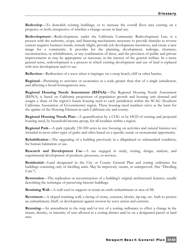**Redevelop**—To demolish existing buildings; or to increase the overall floor area existing on a property; or both; irrespective of whether a change occurs in land use.

**Redevelopment**—Redevelopment, under the California Community Redevelopment Law, is a process with the authority, scope, and financing mechanisms necessary to provide stimulus to reverse current negative business trends, remedy blight, provide job development incentives, and create a new image for a community. It provides for the planning, development, redesign, clearance, reconstruction, or rehabilitation, or any combination of these, and the provision of public and private improvements as may be appropriate or necessary in the interest of the general welfare. In a more general sense, redevelopment is a process in which existing development and use of land is replaced with new development and/or use.

**Reflection**—Redirection of a wave when it impinges on a steep beach, cliff or other barrier;

**Regional**—Pertaining to activities or economies at a scale greater than that of a single jurisdiction, and affecting a broad homogeneous area.

**Regional Housing Needs Assessment (RHNA)**—The Regional Housing Needs Assessment (RHNA) is based on California projections of population growth and housing unit demand and assigns a share of the region's future housing need to each jurisdiction within the SCAG (Southern California Association of Governments) region. These housing need numbers serve as the basis for the update of the Housing Element in each California city and county.

**Regional Housing Needs Plan**—A quantification by a COG or by HCD of existing and projected housing need, by household income group, for all localities within a region.

**Regional Park**—A park typically 150-500 acres in size focusing on activities and natural features not included in most other types of parks and often based on a specific scenic or recreational opportunity.

**Rehabilitation**—The upgrading of a building previously in a dilapidated or substandard condition, for human habitation or use.

**Research and Development Use**—A use engaged in study, testing, design, analysis, and experimental development of products, processes, or services.

**Residential**—Land designated in the City or County General Plan and zoning ordinance for buildings consisting only of dwelling units. May be improved, vacant, or unimproved. (See "Dwelling Unit.")

**Restoration—The replication or reconstruction of a building's original architectural features, usually** describing the technique of preserving historic buildings.

**Retaining Wall**—A wall used to support or retain an earth embankment or area of fill.

**Revetment**—A sloped retaining wall; a facing of stone, concrete, blocks, rip-rap, etc. built to protect an embankment, bluff, or development against erosion by wave action and currents.

**Rezoning**—An amendment to the map and/or text of a zoning ordinance to effect a change in the nature, density, or intensity of uses allowed in a zoning district and/or on a designated parcel or land area.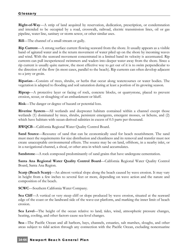**Right-of-Way**—A strip of land acquired by reservation, dedication, prescription, or condemnation and intended to be occupied by a road, crosswalk, railroad, electric transmission lines, oil or gas pipeline, water line, sanitary or storm sewer, or other similar uses.

**Rill**—The channel of a small stream or gully.

**Rip Current**—A strong surface current flowing seaward from the shore. It usually appears as a visible band of agitated water and is the return movement of water piled up on the shore by incoming waves and wind. With the seaward movement concentrated in a limited band its velocity is accentuated. Rip currents can pull inexperienced swimmers and waders into deeper water away from the shore. Since a rip current is usually quite narrow, the most effective way to get out of it is to swim perpendicular to the direction of the flow (in most cases, parallel to the beach). Rip currents can often develop adjacent to a jetty or groin.

**Riparian**—Consists of trees, shrubs, or herbs that occur along watercourses or water bodies. The vegetation is adapted to flooding and soil saturation during at least a portion of its growing season.

**Riprap**—A protective layer or facing of rock, concrete blocks, or quarrystone, placed to prevent erosion, scour, or sloughing of an embankment or bluff.

**Risk**—The danger or degree of hazard or potential loss.

**Riverine System**—All wetlands and deepwater habitats contained within a channel except those wetlands (1) dominated by trees, shrubs, persistent emergents, emergent mosses, or lichens, and (2) which have habitats with ocean-derived salinities in excess of 0.5 parts per thousand.

**RWQCB**—California Regional Water Quality Control Board.

**Sand Source**—Resource of sand that can be economically used for beach nourishment. The sand must meet the requirements for size distribution and cleanliness and its removal and transfer must not create unacceptable environmental effects. The source may be on land, offshore, in a nearby inlet, or in a navigational channel, a shoal, or other area in which sand accumulates.

**Sandstone—A** rock composed predominantly of sand grains that have undergone cementation.

**Santa Ana Regional Water Quality Control Board**—California Regional Water Quality Control Board, Santa Ana Region.

**Scarp (Beach Scarp)—An almost vertical slope along the beach caused by wave erosion. It may vary** in height from a few inches to several feet or more, depending on wave action and the nature and composition of the beach.

**SCWC**—Southern California Water Company.

**Sea Cliff—A** vertical or very steep cliff or slope produced by wave erosion, situated at the seaward edge of the coast or the landward side of the wave-cut platform, and marking the inner limit of beach erosion.

**Sea Level**—The height of the ocean relative to land; tides, wind, atmospheric pressure changes, heating, cooling, and other factors cause sea-level changes.

**Sea**—The Pacific Ocean and all harbors, bays, channels, estuaries, salt marshes, sloughs, and other areas subject to tidal action through any connection with the Pacific Ocean, excluding nonestuarine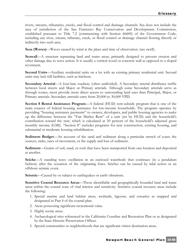rivers, streams, tributaries, creeks, and flood control and drainage channels. Sea does not include the area of jurisdiction of the San Francisco Bay Conservation and Development Commission, established pursuant to Title 7.2 (commencing with Section 66600) of the Government Code, including any river, stream, tributary, creek, or flood control or drainage channel flowing directly or indirectly into such area.

**Seas (Waves)**—Waves caused by wind at the place and time of observation. (see swell).

**Seawall**—A structure separating land and water areas, primarily designed to prevent erosion and other damage due to wave action. It is usually a vertical wood or concrete wall as opposed to a sloped revetment.

**Second Units**—Auxiliary residential units on a lot with an existing primary residential unit. Second units may lack full facilities, such as kitchens.

**Secondary Arterial**—A four-lane roadway (often undivided). A Secondary arterial distributes traffic between local streets and Major or Primary arterials. Although some Secondary arterials serve as through routes, most provide more direct access to surrounding land uses than Principal, Major, or Primary arterials. Secondary arterials carry from 20,000 to 30,000 VPD.

**Section 8 Rental Assistance Program—A** federal (HUD) rent-subsidy program that is one of the main sources of federal housing assistance for low-income households. The program operates by providing "housing assistance payments" to owners, developers, and public housing agencies to make up the difference between the "Fair Market Rent" of a unit (set by HUD) and the household's contribution toward the rent, which is calculated at 30 percent of the household's adjusted gross monthly income (GMI). "Section 8" includes programs for new construction, existing housing, and substantial or moderate housing rehabilitation.

**Sediment Budget**—An account of the sand and sediment along a particular stretch of coast; the sources, sinks, rates of movement, or the supply and loss of sediment.

**Sediment**—Grains of soil, sand, or rock that have been transported from one location and deposited at another.

**Seiche**—A standing wave oscillation in an enclosed waterbody that continues (in a pendulum fashion) after the cessation of the originating force. Seiches can be caused by tidal action or an offshore seismic event.

**Seismic—Caused by or subject to earthquakes or earth vibrations.** 

**Sensitive Coastal Resource Areas**—Those identifiable and geographically bounded land and water areas within the coastal zone of vital interest and sensitivity. Sensitive coastal resource areas include the following:

- 1. Special marine and land habitat areas, wetlands, lagoons, and estuaries as mapped and designated in Part 4 of the coastal plan.
- 2. Areas possessing significant recreational value.
- 3. Highly scenic areas.
- 4. Archaeological sites referenced in the California Coastline and Recreation Plan or as designated by the State Historic Preservation Officer.
- 5. Special communities or neighborhoods that are significant visitor destination areas.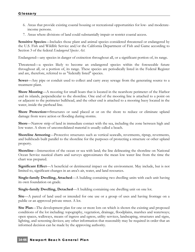- 6. Areas that provide existing coastal housing or recreational opportunities for low- and moderateincome persons.
- 7. Areas where divisions of land could substantially impair or restrict coastal access.

**Sensitive Species**—Includes those plant and animal species considered threatened or endangered by the U.S. Fish and Wildlife Service and/or the California Department of Fish and Game according to Section 3 of the federal *Endangered Species Act*.

Endangered—any species in danger of extinction throughout all, or a significant portion of, its range.

Threatened—a species likely to become an endangered species within the foreseeable future throughout all, or a portion of, its range. These species are periodically listed in the Federal Register and are, therefore, referred to as "federally listed" species.

**Sewer**—Any pipe or conduit used to collect and carry away sewage from the generating source to a treatment plant.

**Shore Mooring**—A mooring for small boats that is located in the nearshore perimeter of the Harbor and its islands, perpendicular to the shoreline. One end of the mooring line is attached to a point on or adjacent to the perimeter bulkhead, and the other end is attached to a mooring buoy located in the water, inside the pierhead line.

**Shore Protection—**Structures or sand placed at or on the shore to reduce or eliminate upland damage from wave action or flooding during storms.

**Shore**—Narrow strip of land in immediate contact with the sea, including the zone between high and low water. A shore of unconsolidated material is usually called a beach.

**Shoreline Armoring**—Protective structures such as vertical seawalls, revetments, riprap, revetments, and bulkheads built parallel to the shoreline for the purposes of protecting a structure or other upland property.

**Shoreline**—Intersection of the ocean or sea with land; the line delineating the shoreline on National Ocean Service nautical charts and surveys approximates the mean low water line from the time the chart was prepared.

**Significant Effect**—A beneficial or detrimental impact on the environment. May include, but is not limited to, significant changes in an area's air, water, and land resources.

**Single-family Dwelling, Attached**—A building containing two dwelling units with each unit having its own foundation on grade.

**Single-family Dwelling, Detached**—A building containing one dwelling unit on one lot.

**Site**—A parcel of land used or intended for one use or a group of uses and having frontage on a public or an approved private street. A lot.

**Site Plan**—The development plan for one or more lots on which is shown the existing and proposed conditions of the lot including: topography, vegetation, drainage, floodplains, marshes and waterways; open spaces, walkways, means of ingress and egress, utility services, landscaping, structures and signs, lighting, and screening devices; any other information that reasonably may be required in order that an informed decision can be made by the approving authority.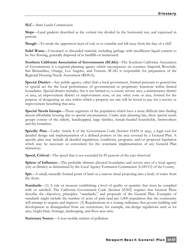**SLC**—State Lands Commission

**Slope—Land gradient described as the vertical rise divided by the horizontal run, and expressed in** percent.

**Slough**—To erode the uppermost layer of soil, or to crumble and fall away from the face of a cliff.

**Solid Waste**—Unwanted or discarded material, including garbage with insufficient liquid content to be free flowing, generally disposed of in landfills or incinerated.

**Southern California Association of Governments (SCAG)**—The Southern California Association of Governments is a regional planning agency which encompasses six counties: Imperial, Riverside, San Bernardino, Orange, Los Angeles, and Ventura. SCAG is responsible for preparation of the Regional Housing Needs Assessment (RHNA).

**Special District—Any public agency, other than a local government, formed pursuant to general law** or special act for the local performance of governmental or proprietary functions within limited boundaries. Special district includes, but is not limited to, a county service area, a maintenance district or area, an improvement district or improvement zone, or any other zone or area, formed for the purpose of designating an area within which a property tax rate will be levied to pay for a service or improvement benefiting that area.

**Special Needs Groups**—Those segments of the population which have a more difficult time finding decent affordable housing due to special circumstances. Under state planning law, these special needs groups consist of the elderly, handicapped, large families, female-headed households, farmworkers and the homeless.

**Specific Plan**—Under Article 8 of the Government Code (Section 65450 et seq.), a legal tool for detailed design and implementation of a defined portion of the area covered by a General Plan. A specific plan may include all detailed regulations, conditions, programs, and/or proposed legislation which may be necessary or convenient for the systematic implementation of any General Plan element(s).

**Speed, Critical—The speed that is not exceeded by 85 percent of the cars observed.** 

**Sphere of Influence—The probable ultimate physical boundaries and service area of a local agency** (city or district) as determined by the Local Agency Formation Commission (LAFCO) of the County.

**Spit**—A small, naturally formed point of land or a narrow shoal projecting into a body of water from the shore.

**Standards**—(1) A rule or measure establishing a level of quality or quantity that must be complied with or satisfied. The California Government Code (Section 65302) requires that General Plans describe the objectives, principles, "standards," and proposals of the General Plan. Examples of standards might include the number of acres of park land per 1,000 population that the community will attempt to acquire and improve. (2) Requirements in a zoning ordinance that govern building and development as distinguished from use restrictions; for example, site-design regulations such as lot area, height limit, frontage, landscaping, and floor area ratio.

**Stationary Source**—A non-mobile emitter of pollution.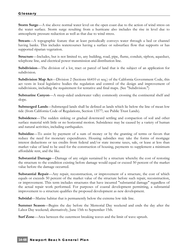**Storm Surge**—A rise above normal water level on the open coast due to the action of wind stress on the water surface. Storm surge resulting from a hurricane also includes the rise in level due to atmospheric pressure reduction as well as that due to wind stress.

**Stream**—A topographic feature that at least periodically conveys water through a bed or channel having banks. This includes watercourses having a surface or subsurface flow that supports or has supported riparian vegetation.

**Structure**—Includes, but is not limited to, any building, road, pipe, flume, conduit, siphon, aqueduct, telephone line, and electrical power transmission and distribution line.

**Subdivision**—The division of a lot, tract or parcel of land that is the subject of an application for subdivision.

**Subdivision Map Act**—Division 2 (Sections 66410 et seq.) of the California Government Code, this act vests in local legislative bodies the regulation and control of the design and improvement of subdivisions, including the requirement for tentative and final maps. (See "Subdivision.")

**Submarine Canyon—A** steep-sided underwater valley commonly crossing the continental shelf and slope.

**Submerged Lands**—Submerged lands shall be defined as lands which lie below the line of mean low tide (from California Code of Regulations, Section 13577; see Public Trust Lands).

**Subsidence**—The sudden sinking or gradual downward settling and compaction of soil and other surface material with little or no horizontal motion. Subsidence may be caused by a variety of human and natural activities, including earthquakes.

**Subsidize**—To assist by payment of a sum of money or by the granting of terms or favors that reduce the need for monetary expenditures. Housing subsidies may take the forms of mortgage interest deductions or tax credits from federal and/or state income taxes, sale, or lease at less than market value of land to be used for the construction of housing, payments to supplement a minimum affordable rent, and the like.

**Substantial Damage**—Damage of any origin sustained by a structure whereby the cost of restoring the structure to the condition existing before damage would equal or exceed 50 percent of the market value before the damage occurred.

**Substantial Repair**—Any repair, reconstruction, or improvement of a structure, the cost of which equals or exceeds 50 percent of the market value of the structure before such repair, reconstruction, or improvement. This term includes structures that have incurred "substantial damage" regardless of the actual repair work performed. For purposes of coastal development permitting, a substantial improvement to a structure qualifies the proposed development as new development.

**Subtidal**—Marine habitat that is permanently below the extreme low tide line.

**Summer Season**—Begins the day before the Memorial Day weekend and ends the day after the Labor Day weekend; alternatively, June 15th to September 15th.

**Surf Zone**—Area between the outermost breaking waves and the limit of wave uprush.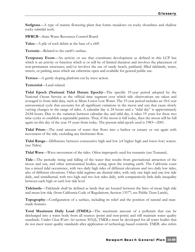**Surfgrass**—A type of marine flowering plant that forms meadows on rocky shorelines and shallow rocky subtidal reefs.

**SWRCB**—State Water Resources Control Board.

**Talus**—A pile of rock debris at the base of a cliff.

**Tectonic**—Related to the earth's surface.

**Temporary Event**—An activity or use that constitutes development as defined in this LCP but which is an activity or function which is or will be of limited duration and involves the placement of non-permanent structures; and/or involves the use of sandy beach, parkland, filled tidelands, water, streets, or parking areas which are otherwise open and available for general public use.

**Terrace**—A gently sloping platform cut by wave action.

**Terrestrial**—Land-related.

**Tidal Epoch (National Tidal Datum Epoch)**—The specific 19-year period adopted by the National Ocean Service as the official time segment over which tide observations are taken and averaged to form tidal data, such as Mean Lower Low Water. The 19-year period includes an 18.6 year astronomical cycle that accounts for all significant variations in the moon and sun that cause slowly varying changes in the range of tides. A calendar day is 24 hours and a "tidal day" is approximately 24.84 hours. Due to the variation between calendar day and tidal day, it takes 19 years for these two time cycles to establish a repeatable pattern. Thus, if the moon is full today, then the moon will be full again on this day of the year 19 years from today. The present tidal epoch used is 1983—2001.

**Tidal Prism**—The total amount of water that flows into a harbor or estuary or out again with movement of the tide, excluding any freshwater flow.

**Tidal Range**—Difference between consecutive high and low (of higher high and lower low) waters. (see Tides).

**Tidal Wave**—Wave movement of the tides. Often improperly used for tsunamis (see Tsunami).

**Tide**—The periodic rising and falling of the water that results from gravitational attraction of the moon and sun, and other astronomical bodies, acting upon the rotating earth. The California coast has a mixed tidal occurrence, with two daily high tides of different elevations and two daily low tides, also of different elevations. Other tidal regimes are diurnal tides, with only one high and one low tide daily, and semidiurnal, with two high and two low tides daily, with comparatively little daily inequality between each high or each low tide level

**Tidelands**—Tidelands shall be defined as lands that are located between the lines of mean high tide and mean low tide (from California Code of Regulations, Section 13577; see Public Trust Lands).

**Topography**—Configuration of a surface, including its relief and the position of natural and manmade features.

**Total Maximum Daily Load (TMDL)**—The maximum amount of a pollutant that can be discharged into a water body from all sources (point and non-point) and still maintain water quality standards. Under *Clean Water Act* section 303(d), TMDLs must be developed for all water bodies that do not meet water quality standards after application of technology-based controls. TMDL also refers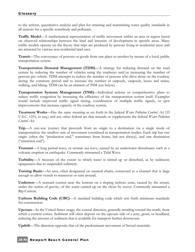to the written, quantitative analysis and plan for attaining and maintaining water quality standards in all seasons for a specific waterbody and pollutant.

**Traffic Model**—A mathematical representation of traffic movement within an area or region based on observed relationships between the kind and intensity of development in specific areas. Many traffic models operate on the theory that trips are produced by persons living in residential areas and are attracted by various non-residential land uses.

**Transit**—The conveyance of persons or goods from one place to another by means of a local, public transportation system.

**Transportation Demand Management (TDM)**—A strategy for reducing demand on the road system by reducing the number of vehicles using the roadways and/or increasing the number of persons per vehicle. TDM attempts to reduce the number of persons who drive alone on the roadway during the commute period and to increase the number in carpools, vanpools, buses and trains, walking, and biking. TDM can be an element of TSM (see below).

**Transportation Systems Management (TSM)**—Individual actions or comprehensive plans to reduce traffic congestion by increasing the efficiency of the transportation system itself. Examples would include improved traffic signal timing, coordination of multiple traffic signals, or spot improvements that increase capacity of the roadway system.

**Treatment Works**—Has the same meaning as set forth in the federal *Water Pollution Control Act* (33 U.S.C. 1251, et seq.) and any other federal act that amends or supplements the federal *Water Pollution Control Act*.

**Trip**—A one-way journey that proceeds from an origin to a destination via a single mode of transportation; the smallest unit of movement considered in transportation studies. Each trip has one origin (often the "production end," sometimes from home, but not always), and one destination ("attraction end").

**Tsunami**—A long period wave, or seismic sea wave, caused by an underwater disturbance such as a volcanic eruption or earthquake. Commonly misnamed a Tidal Wave.

**Turbidity**—A measure of the extent to which water is stirred up or disturbed, as by sediment; opaqueness due to suspended sediment.

**Turning Basin**—An area, often designated on nautical charts, connected to a channel that is large enough to allow vessels to maneuver or turn around.

**Undertow**—A seaward current near the bottom on a sloping inshore zone, caused by the return, under the action of gravity, of the water carried up on the shore by waves. Commonly misnamed a Rip Current.

**Uniform Building Code (UBC)**—A standard building code which sets forth minimum standards for construction.

**Upcoast**—In the United States usage, the coastal direction, generally trending toward the north, from which a current comes. Sediment will often deposit on the upcoast side of a jetty, groin, or headland, reducing the amount of sediment that is available for transport further downcoast.

**Updrift**—The direction opposite that of the predominant movement of littoral materials.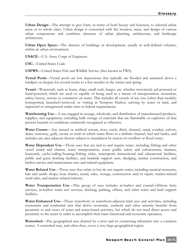**Urban Design**—The attempt to give form, in terms of both beauty and function, to selected urban areas or to whole cities. Urban design is concerned with the location, mass, and design of various urban components and combines elements of urban planning, architecture, and landscape architecture.

**Urban Open Space**—The absence of buildings or development, usually in well-defined volumes, within an urban environment.

**USACE**—U.S. Army Corps of Engineers.

**USC**—United States Code.

**USFWS**—United States Fish and Wildlife Service (also known as FWS).

**Vernal Pools**—Vernal pools are low depressions that typically are flooded and saturated above a hardpan or claypan for several weeks to a few months in the winter and spring.

**Vessel**—Watercraft, such as boats, ships, small craft, barges, etc. whether motorized, sail-powered or hand-powered, which are used or capable of being used as a means of transportation, recreation, safety/rescue, service or commerce on water. This includes all vessels of any size (other than models) homeported, launched/retrieved, or visiting in Newport Harbor, arriving by water or land, and registered or unregistered under state or federal requirements.

**Warehousing Use**—A use engaged in storage, wholesale, and distribution of manufactured products, supplies, and equipment, excluding bulk storage of materials that are flammable or explosive of that present hazards or conditions commonly recognized as offensive.

**Water Course**—Any natural or artificial stream, river, creek, ditch, channel, canal, conduit, culvert, drain, waterway, gully, ravine or wash in which water flows in a definite channel, bed and banks, and includes any area adjacent thereto subject to inundation by reason of overflow or flood water.

**Water Dependent Use**—Those uses that are tied to and require water, including fishing and other vessel rental and charter, water transportation, water public safety and enforcement, marinas, boatyards, yacht/sailing/boating/fishing clubs, watersports instructional and educational facilities, public and guest docking facilities, and landside support uses, dredging, marine construction, and harbor service and maintenance uses and related equipment.

**Water Related Use**—Those uses that relate to but do not require water, including nautical museums, bait and tackle shops, boat charter, rental, sales, storage, construction and/or repair, marine-related retail sales, and marine-related industry.

**Water Transportation Use**—This group of uses includes in-harbor and coastal/offshore ferry services, in-harbor water taxi services, docking, parking, offices, and other water and land support facilities.

**Water-Enhanced Use**—Those waterfront or waterfront-adjacent land uses and activities, including restaurants and residential uses that derive economic, aesthetic and other amenity benefits from proximity to and views of water and water-based activities, but which do not need direct access and proximity to the water in order to accomplish their basic functional and economic operation.

**Watershed**—The geographical area drained by a river and its connecting tributaries into a common source. A watershed may, and often does, cover a very large geographical region.